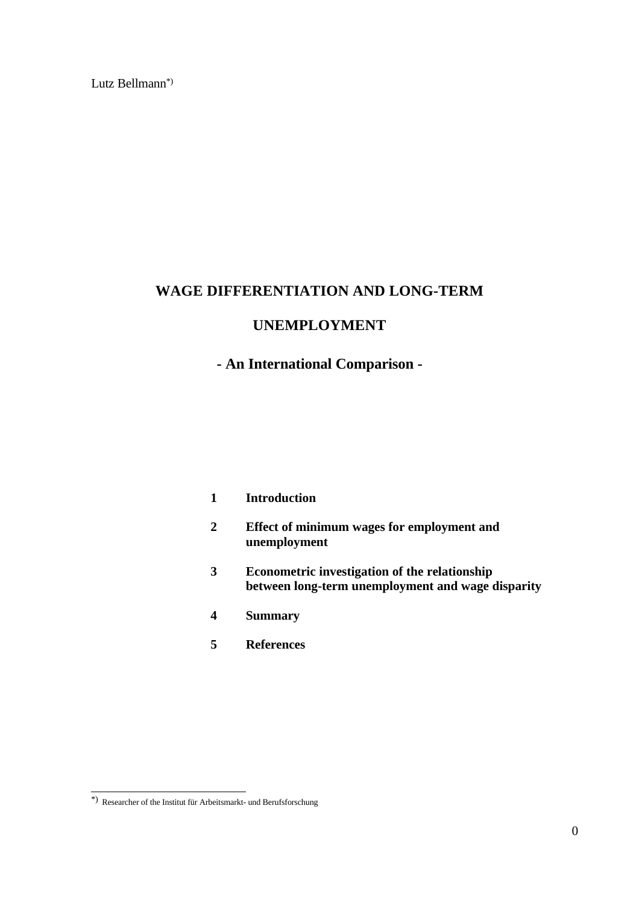Lutz Bellmann\*)

# **WAGE DIFFERENTIATION AND LONG-TERM**

# **UNEMPLOYMENT**

# **- An International Comparison -**

| Introduction |
|--------------|
|              |

- **2 Effect of minimum wages for employment and unemployment**
- **3 Econometric investigation of the relationship between long-term unemployment and wage disparity**
- **4 Summary**
- **5 References**

 \*) Researcher of the Institut für Arbeitsmarkt- und Berufsforschung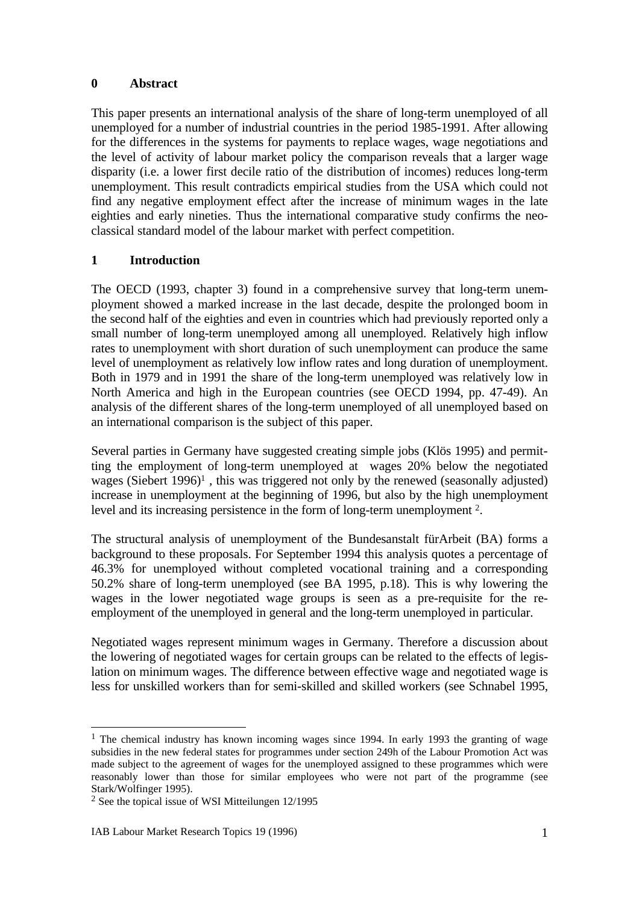### **0 Abstract**

This paper presents an international analysis of the share of long-term unemployed of all unemployed for a number of industrial countries in the period 1985-1991. After allowing for the differences in the systems for payments to replace wages, wage negotiations and the level of activity of labour market policy the comparison reveals that a larger wage disparity (i.e. a lower first decile ratio of the distribution of incomes) reduces long-term unemployment. This result contradicts empirical studies from the USA which could not find any negative employment effect after the increase of minimum wages in the late eighties and early nineties. Thus the international comparative study confirms the neoclassical standard model of the labour market with perfect competition.

# **1 Introduction**

The OECD (1993, chapter 3) found in a comprehensive survey that long-term unemployment showed a marked increase in the last decade, despite the prolonged boom in the second half of the eighties and even in countries which had previously reported only a small number of long-term unemployed among all unemployed. Relatively high inflow rates to unemployment with short duration of such unemployment can produce the same level of unemployment as relatively low inflow rates and long duration of unemployment. Both in 1979 and in 1991 the share of the long-term unemployed was relatively low in North America and high in the European countries (see OECD 1994, pp. 47-49). An analysis of the different shares of the long-term unemployed of all unemployed based on an international comparison is the subject of this paper.

Several parties in Germany have suggested creating simple jobs (Klös 1995) and permitting the employment of long-term unemployed at wages 20% below the negotiated wages (Siebert 1996)<sup>1</sup>, this was triggered not only by the renewed (seasonally adjusted) increase in unemployment at the beginning of 1996, but also by the high unemployment level and its increasing persistence in the form of long-term unemployment <sup>2</sup> .

The structural analysis of unemployment of the Bundesanstalt fürArbeit (BA) forms a background to these proposals. For September 1994 this analysis quotes a percentage of 46.3% for unemployed without completed vocational training and a corresponding 50.2% share of long-term unemployed (see BA 1995, p.18). This is why lowering the wages in the lower negotiated wage groups is seen as a pre-requisite for the reemployment of the unemployed in general and the long-term unemployed in particular.

Negotiated wages represent minimum wages in Germany. Therefore a discussion about the lowering of negotiated wages for certain groups can be related to the effects of legislation on minimum wages. The difference between effective wage and negotiated wage is less for unskilled workers than for semi-skilled and skilled workers (see Schnabel 1995,

<sup>&</sup>lt;sup>1</sup> The chemical industry has known incoming wages since 1994. In early 1993 the granting of wage subsidies in the new federal states for programmes under section 249h of the Labour Promotion Act was made subject to the agreement of wages for the unemployed assigned to these programmes which were reasonably lower than those for similar employees who were not part of the programme (see Stark/Wolfinger 1995).

<sup>2</sup> See the topical issue of WSI Mitteilungen 12/1995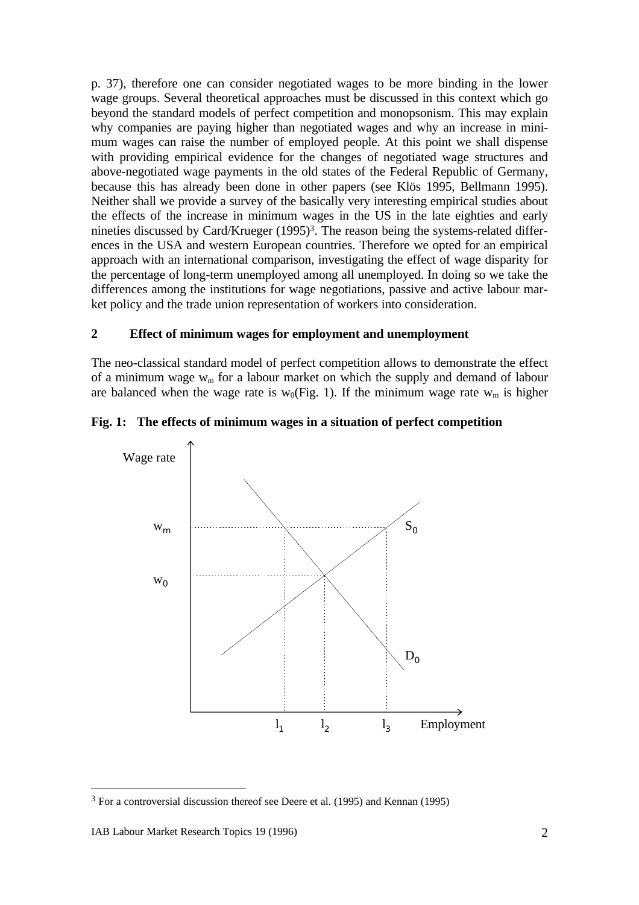p. 37), therefore one can consider negotiated wages to be more binding in the lower wage groups. Several theoretical approaches must be discussed in this context which go beyond the standard models of perfect competition and monopsonism. This may explain why companies are paying higher than negotiated wages and why an increase in minimum wages can raise the number of employed people. At this point we shall dispense with providing empirical evidence for the changes of negotiated wage structures and above-negotiated wage payments in the old states of the Federal Republic of Germany, because this has already been done in other papers (see Klös 1995, Bellmann 1995). Neither shall we provide a survey of the basically very interesting empirical studies about the effects of the increase in minimum wages in the US in the late eighties and early nineties discussed by Card/Krueger (1995)<sup>3</sup>. The reason being the systems-related differences in the USA and western European countries. Therefore we opted for an empirical approach with an international comparison, investigating the effect of wage disparity for the percentage of long-term unemployed among all unemployed. In doing so we take the differences among the institutions for wage negotiations, passive and active labour market policy and the trade union representation of workers into consideration.

# **2 Effect of minimum wages for employment and unemployment**

The neo-classical standard model of perfect competition allows to demonstrate the effect of a minimum wage  $w_m$  for a labour market on which the supply and demand of labour are balanced when the wage rate is  $w_0$ (Fig. 1). If the minimum wage rate  $w_m$  is higher

# **Fig. 1: The effects of minimum wages in a situation of perfect competition**



<sup>&</sup>lt;sup>3</sup> For a controversial discussion thereof see Deere et al. (1995) and Kennan (1995)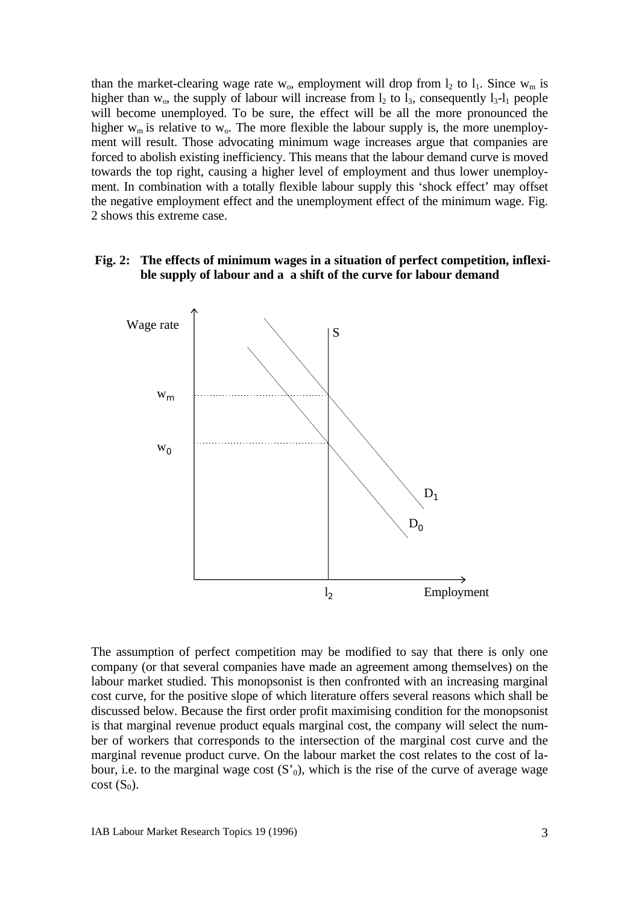than the market-clearing wage rate  $w_0$ , employment will drop from  $l_2$  to  $l_1$ . Since  $w_m$  is higher than  $w_0$ , the supply of labour will increase from  $l_2$  to  $l_3$ , consequently  $l_3-l_1$  people will become unemployed. To be sure, the effect will be all the more pronounced the higher  $w_m$  is relative to  $w_o$ . The more flexible the labour supply is, the more unemployment will result. Those advocating minimum wage increases argue that companies are forced to abolish existing inefficiency. This means that the labour demand curve is moved towards the top right, causing a higher level of employment and thus lower unemployment. In combination with a totally flexible labour supply this 'shock effect' may offset the negative employment effect and the unemployment effect of the minimum wage. Fig. 2 shows this extreme case.

#### **Fig. 2: The effects of minimum wages in a situation of perfect competition, inflexible supply of labour and a a shift of the curve for labour demand**



The assumption of perfect competition may be modified to say that there is only one company (or that several companies have made an agreement among themselves) on the labour market studied. This monopsonist is then confronted with an increasing marginal cost curve, for the positive slope of which literature offers several reasons which shall be discussed below. Because the first order profit maximising condition for the monopsonist is that marginal revenue product equals marginal cost, the company will select the number of workers that corresponds to the intersection of the marginal cost curve and the marginal revenue product curve. On the labour market the cost relates to the cost of labour, i.e. to the marginal wage cost  $(S_0)$ , which is the rise of the curve of average wage  $cost(S<sub>0</sub>)$ .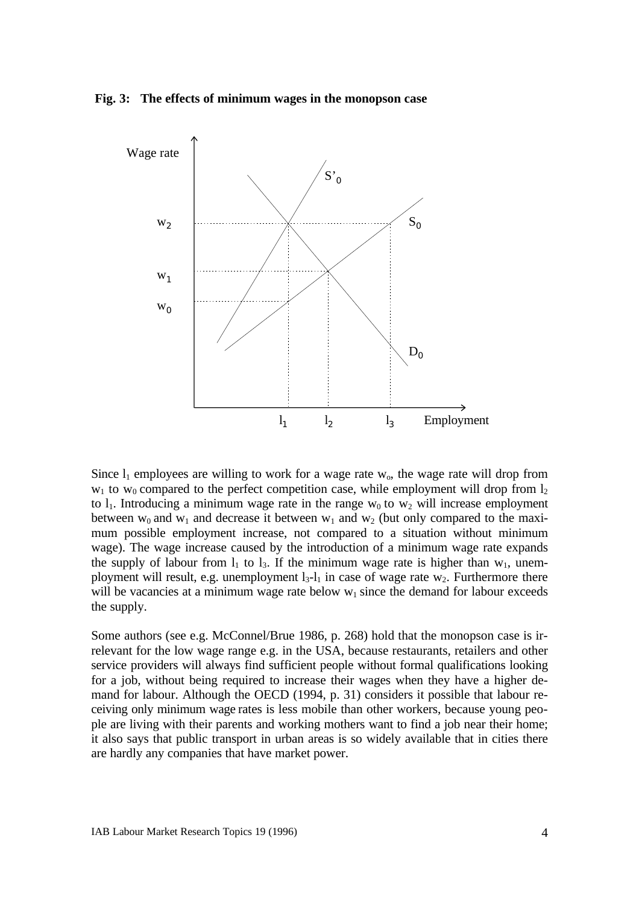#### **Fig. 3: The effects of minimum wages in the monopson case**



Since  $l_1$  employees are willing to work for a wage rate w<sub>o</sub>, the wage rate will drop from  $w_1$  to  $w_0$  compared to the perfect competition case, while employment will drop from  $l_2$ to  $l_1$ . Introducing a minimum wage rate in the range w<sub>0</sub> to w<sub>2</sub> will increase employment between  $w_0$  and  $w_1$  and decrease it between  $w_1$  and  $w_2$  (but only compared to the maximum possible employment increase, not compared to a situation without minimum wage). The wage increase caused by the introduction of a minimum wage rate expands the supply of labour from  $l_1$  to  $l_3$ . If the minimum wage rate is higher than  $w_1$ , unemployment will result, e.g. unemployment  $l_3-l_1$  in case of wage rate w<sub>2</sub>. Furthermore there will be vacancies at a minimum wage rate below  $w_1$  since the demand for labour exceeds the supply.

Some authors (see e.g. McConnel/Brue 1986, p. 268) hold that the monopson case is irrelevant for the low wage range e.g. in the USA, because restaurants, retailers and other service providers will always find sufficient people without formal qualifications looking for a job, without being required to increase their wages when they have a higher demand for labour. Although the OECD (1994, p. 31) considers it possible that labour receiving only minimum wage rates is less mobile than other workers, because young people are living with their parents and working mothers want to find a job near their home; it also says that public transport in urban areas is so widely available that in cities there are hardly any companies that have market power.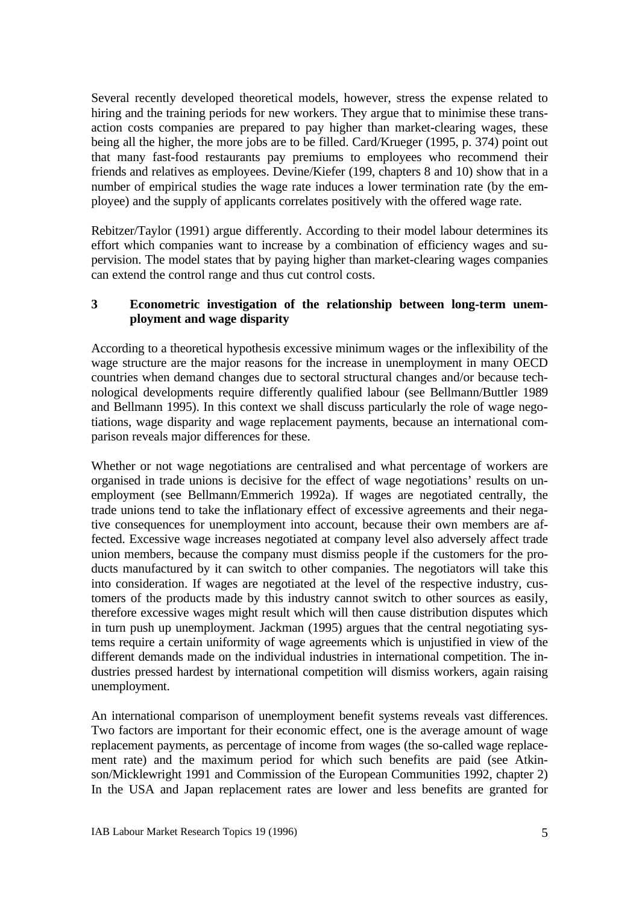Several recently developed theoretical models, however, stress the expense related to hiring and the training periods for new workers. They argue that to minimise these transaction costs companies are prepared to pay higher than market-clearing wages, these being all the higher, the more jobs are to be filled. Card/Krueger (1995, p. 374) point out that many fast-food restaurants pay premiums to employees who recommend their friends and relatives as employees. Devine/Kiefer (199, chapters 8 and 10) show that in a number of empirical studies the wage rate induces a lower termination rate (by the employee) and the supply of applicants correlates positively with the offered wage rate.

Rebitzer/Taylor (1991) argue differently. According to their model labour determines its effort which companies want to increase by a combination of efficiency wages and supervision. The model states that by paying higher than market-clearing wages companies can extend the control range and thus cut control costs.

# **3 Econometric investigation of the relationship between long-term unemployment and wage disparity**

According to a theoretical hypothesis excessive minimum wages or the inflexibility of the wage structure are the major reasons for the increase in unemployment in many OECD countries when demand changes due to sectoral structural changes and/or because technological developments require differently qualified labour (see Bellmann/Buttler 1989 and Bellmann 1995). In this context we shall discuss particularly the role of wage negotiations, wage disparity and wage replacement payments, because an international comparison reveals major differences for these.

Whether or not wage negotiations are centralised and what percentage of workers are organised in trade unions is decisive for the effect of wage negotiations' results on unemployment (see Bellmann/Emmerich 1992a). If wages are negotiated centrally, the trade unions tend to take the inflationary effect of excessive agreements and their negative consequences for unemployment into account, because their own members are affected. Excessive wage increases negotiated at company level also adversely affect trade union members, because the company must dismiss people if the customers for the products manufactured by it can switch to other companies. The negotiators will take this into consideration. If wages are negotiated at the level of the respective industry, customers of the products made by this industry cannot switch to other sources as easily, therefore excessive wages might result which will then cause distribution disputes which in turn push up unemployment. Jackman (1995) argues that the central negotiating systems require a certain uniformity of wage agreements which is unjustified in view of the different demands made on the individual industries in international competition. The industries pressed hardest by international competition will dismiss workers, again raising unemployment.

An international comparison of unemployment benefit systems reveals vast differences. Two factors are important for their economic effect, one is the average amount of wage replacement payments, as percentage of income from wages (the so-called wage replacement rate) and the maximum period for which such benefits are paid (see Atkinson/Micklewright 1991 and Commission of the European Communities 1992, chapter 2) In the USA and Japan replacement rates are lower and less benefits are granted for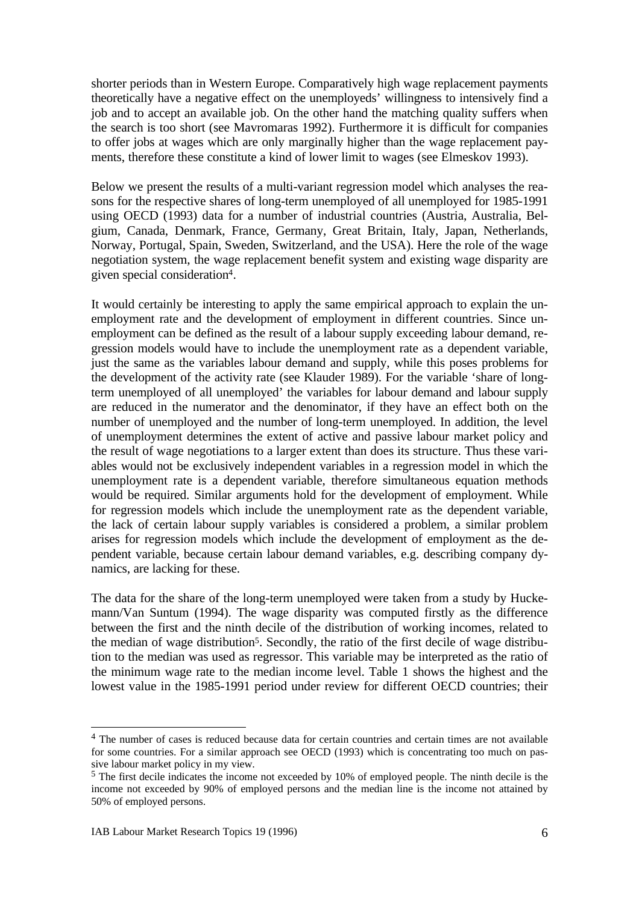shorter periods than in Western Europe. Comparatively high wage replacement payments theoretically have a negative effect on the unemployeds' willingness to intensively find a job and to accept an available job. On the other hand the matching quality suffers when the search is too short (see Mavromaras 1992). Furthermore it is difficult for companies to offer jobs at wages which are only marginally higher than the wage replacement payments, therefore these constitute a kind of lower limit to wages (see Elmeskov 1993).

Below we present the results of a multi-variant regression model which analyses the reasons for the respective shares of long-term unemployed of all unemployed for 1985-1991 using OECD (1993) data for a number of industrial countries (Austria, Australia, Belgium, Canada, Denmark, France, Germany, Great Britain, Italy, Japan, Netherlands, Norway, Portugal, Spain, Sweden, Switzerland, and the USA). Here the role of the wage negotiation system, the wage replacement benefit system and existing wage disparity are given special consideration<sup>4</sup> .

It would certainly be interesting to apply the same empirical approach to explain the unemployment rate and the development of employment in different countries. Since unemployment can be defined as the result of a labour supply exceeding labour demand, regression models would have to include the unemployment rate as a dependent variable, just the same as the variables labour demand and supply, while this poses problems for the development of the activity rate (see Klauder 1989). For the variable 'share of longterm unemployed of all unemployed' the variables for labour demand and labour supply are reduced in the numerator and the denominator, if they have an effect both on the number of unemployed and the number of long-term unemployed. In addition, the level of unemployment determines the extent of active and passive labour market policy and the result of wage negotiations to a larger extent than does its structure. Thus these variables would not be exclusively independent variables in a regression model in which the unemployment rate is a dependent variable, therefore simultaneous equation methods would be required. Similar arguments hold for the development of employment. While for regression models which include the unemployment rate as the dependent variable, the lack of certain labour supply variables is considered a problem, a similar problem arises for regression models which include the development of employment as the dependent variable, because certain labour demand variables, e.g. describing company dynamics, are lacking for these.

The data for the share of the long-term unemployed were taken from a study by Huckemann/Van Suntum (1994). The wage disparity was computed firstly as the difference between the first and the ninth decile of the distribution of working incomes, related to the median of wage distribution<sup>5</sup>. Secondly, the ratio of the first decile of wage distribution to the median was used as regressor. This variable may be interpreted as the ratio of the minimum wage rate to the median income level. Table 1 shows the highest and the lowest value in the 1985-1991 period under review for different OECD countries; their

<sup>&</sup>lt;sup>4</sup> The number of cases is reduced because data for certain countries and certain times are not available for some countries. For a similar approach see OECD (1993) which is concentrating too much on passive labour market policy in my view.

<sup>&</sup>lt;sup>5</sup> The first decile indicates the income not exceeded by 10% of employed people. The ninth decile is the income not exceeded by 90% of employed persons and the median line is the income not attained by 50% of employed persons.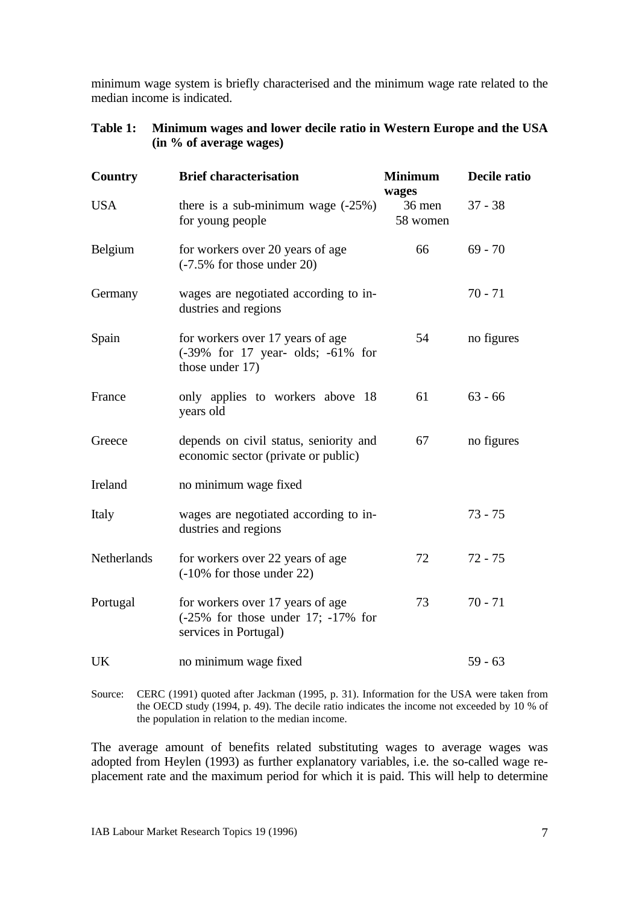minimum wage system is briefly characterised and the minimum wage rate related to the median income is indicated.

| <b>Country</b> | <b>Brief characterisation</b>                                                                         | <b>Minimum</b>              | Decile ratio |  |
|----------------|-------------------------------------------------------------------------------------------------------|-----------------------------|--------------|--|
| <b>USA</b>     | there is a sub-minimum wage $(-25%)$<br>for young people                                              | wages<br>36 men<br>58 women | $37 - 38$    |  |
| Belgium        | for workers over 20 years of age<br>$(-7.5\%$ for those under 20)                                     | 66                          | $69 - 70$    |  |
| Germany        | wages are negotiated according to in-<br>dustries and regions                                         |                             | $70 - 71$    |  |
| Spain          | for workers over 17 years of age<br>(-39% for 17 year- olds; -61% for<br>those under 17)              | 54                          | no figures   |  |
| France         | only applies to workers above 18<br>years old                                                         | 61                          | $63 - 66$    |  |
| Greece         | depends on civil status, seniority and<br>economic sector (private or public)                         | 67                          | no figures   |  |
| Ireland        | no minimum wage fixed                                                                                 |                             |              |  |
| Italy          | wages are negotiated according to in-<br>dustries and regions                                         |                             | $73 - 75$    |  |
| Netherlands    | for workers over 22 years of age<br>$(-10\%$ for those under 22)                                      | 72                          | $72 - 75$    |  |
| Portugal       | for workers over 17 years of age<br>$(-25\%$ for those under 17; $-17\%$ for<br>services in Portugal) | 73                          | $70 - 71$    |  |
| UK             | no minimum wage fixed                                                                                 |                             | $59 - 63$    |  |

| Table 1: Minimum wages and lower decile ratio in Western Europe and the USA |
|-----------------------------------------------------------------------------|
| (in % of average wages)                                                     |

Source: CERC (1991) quoted after Jackman (1995, p. 31). Information for the USA were taken from the OECD study (1994, p. 49). The decile ratio indicates the income not exceeded by 10 % of the population in relation to the median income.

The average amount of benefits related substituting wages to average wages was adopted from Heylen (1993) as further explanatory variables, i.e. the so-called wage replacement rate and the maximum period for which it is paid. This will help to determine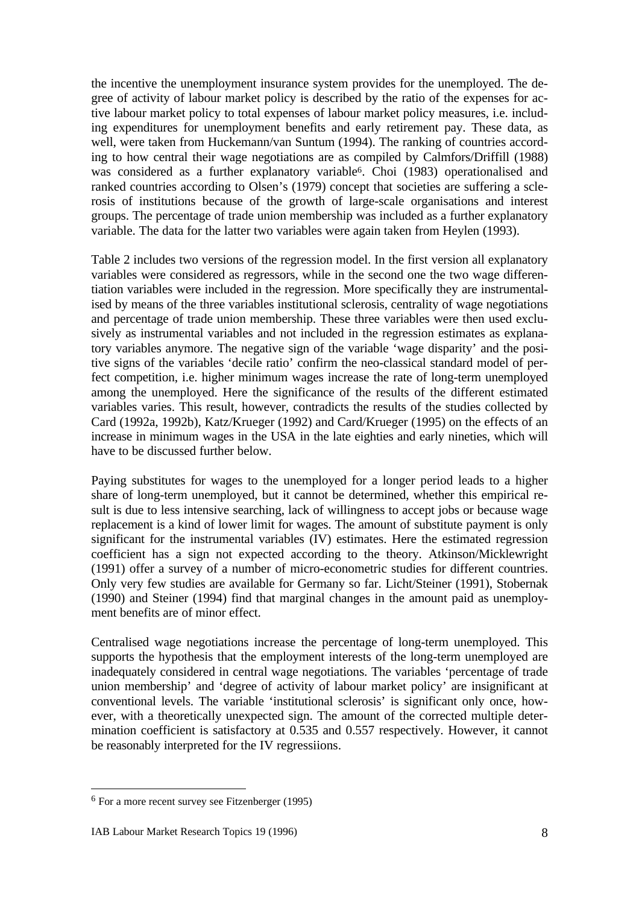the incentive the unemployment insurance system provides for the unemployed. The degree of activity of labour market policy is described by the ratio of the expenses for active labour market policy to total expenses of labour market policy measures, i.e. including expenditures for unemployment benefits and early retirement pay. These data, as well, were taken from Huckemann/van Suntum (1994). The ranking of countries according to how central their wage negotiations are as compiled by Calmfors/Driffill (1988) was considered as a further explanatory variable<sup>6</sup>. Choi (1983) operationalised and ranked countries according to Olsen's (1979) concept that societies are suffering a sclerosis of institutions because of the growth of large-scale organisations and interest groups. The percentage of trade union membership was included as a further explanatory variable. The data for the latter two variables were again taken from Heylen (1993).

Table 2 includes two versions of the regression model. In the first version all explanatory variables were considered as regressors, while in the second one the two wage differentiation variables were included in the regression. More specifically they are instrumentalised by means of the three variables institutional sclerosis, centrality of wage negotiations and percentage of trade union membership. These three variables were then used exclusively as instrumental variables and not included in the regression estimates as explanatory variables anymore. The negative sign of the variable 'wage disparity' and the positive signs of the variables 'decile ratio' confirm the neo-classical standard model of perfect competition, i.e. higher minimum wages increase the rate of long-term unemployed among the unemployed. Here the significance of the results of the different estimated variables varies. This result, however, contradicts the results of the studies collected by Card (1992a, 1992b), Katz/Krueger (1992) and Card/Krueger (1995) on the effects of an increase in minimum wages in the USA in the late eighties and early nineties, which will have to be discussed further below.

Paying substitutes for wages to the unemployed for a longer period leads to a higher share of long-term unemployed, but it cannot be determined, whether this empirical result is due to less intensive searching, lack of willingness to accept jobs or because wage replacement is a kind of lower limit for wages. The amount of substitute payment is only significant for the instrumental variables (IV) estimates. Here the estimated regression coefficient has a sign not expected according to the theory. Atkinson/Micklewright (1991) offer a survey of a number of micro-econometric studies for different countries. Only very few studies are available for Germany so far. Licht/Steiner (1991), Stobernak (1990) and Steiner (1994) find that marginal changes in the amount paid as unemployment benefits are of minor effect.

Centralised wage negotiations increase the percentage of long-term unemployed. This supports the hypothesis that the employment interests of the long-term unemployed are inadequately considered in central wage negotiations. The variables 'percentage of trade union membership' and 'degree of activity of labour market policy' are insignificant at conventional levels. The variable 'institutional sclerosis' is significant only once, however, with a theoretically unexpected sign. The amount of the corrected multiple determination coefficient is satisfactory at 0.535 and 0.557 respectively. However, it cannot be reasonably interpreted for the IV regressiions.

<sup>&</sup>lt;sup>6</sup> For a more recent survey see Fitzenberger (1995)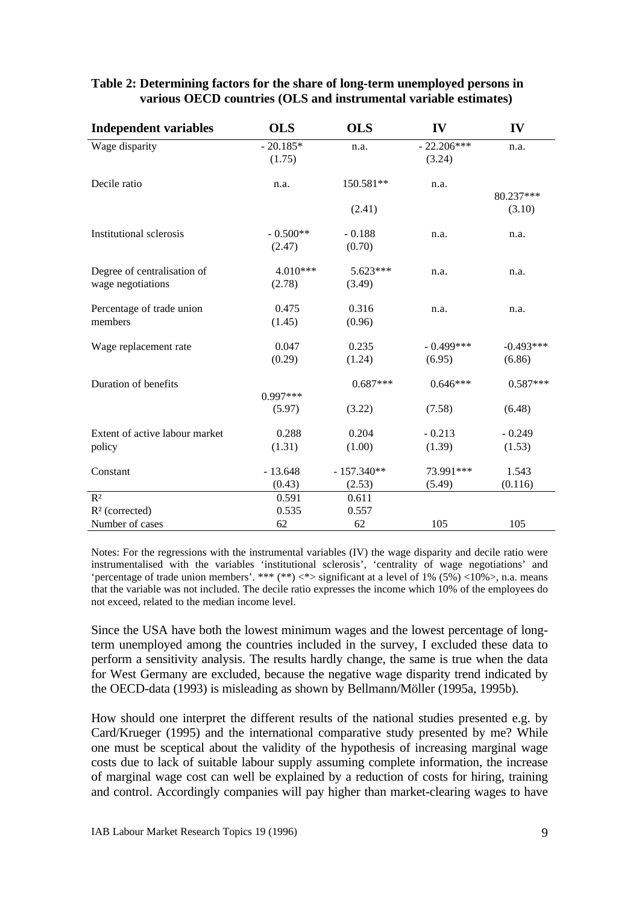| <b>Independent variables</b>   | <b>OLS</b> | <b>OLS</b>   | IV           | IV          |
|--------------------------------|------------|--------------|--------------|-------------|
| Wage disparity                 | $-20.185*$ | n.a.         | $-22.206***$ | n.a.        |
|                                | (1.75)     |              | (3.24)       |             |
| Decile ratio                   | n.a.       | 150.581**    | n.a.         |             |
|                                |            |              |              | 80.237***   |
|                                |            | (2.41)       |              | (3.10)      |
| <b>Institutional sclerosis</b> | $-0.500**$ | $-0.188$     | n.a.         | n.a.        |
|                                | (2.47)     | (0.70)       |              |             |
| Degree of centralisation of    | 4.010***   | 5.623***     | n.a.         | n.a.        |
| wage negotiations              | (2.78)     | (3.49)       |              |             |
| Percentage of trade union      | 0.475      | 0.316        | n.a.         | n.a.        |
| members                        | (1.45)     | (0.96)       |              |             |
| Wage replacement rate          | 0.047      | 0.235        | $-0.499***$  | $-0.493***$ |
|                                | (0.29)     | (1.24)       | (6.95)       | (6.86)      |
| Duration of benefits           |            | $0.687***$   | $0.646***$   | $0.587***$  |
|                                | $0.997***$ |              |              |             |
|                                | (5.97)     | (3.22)       | (7.58)       | (6.48)      |
| Extent of active labour market | 0.288      | 0.204        | $-0.213$     | $-0.249$    |
| policy                         | (1.31)     | (1.00)       | (1.39)       | (1.53)      |
| Constant                       | $-13.648$  | $-157.340**$ | 73.991***    | 1.543       |
|                                | (0.43)     | (2.53)       | (5.49)       | (0.116)     |
| R <sup>2</sup>                 | 0.591      | 0.611        |              |             |
| $R2$ (corrected)               | 0.535      | 0.557        |              |             |
| Number of cases                | 62         | 62           | 105          | 105         |

# **Table 2: Determining factors for the share of long-term unemployed persons in various OECD countries (OLS and instrumental variable estimates)**

Notes: For the regressions with the instrumental variables (IV) the wage disparity and decile ratio were instrumentalised with the variables 'institutional sclerosis', 'centrality of wage negotiations' and 'percentage of trade union members'. \*\*\*  $(**)$  <\*> significant at a level of 1%  $(5\%)$  <10%>, n.a. means that the variable was not included. The decile ratio expresses the income which 10% of the employees do not exceed, related to the median income level.

Since the USA have both the lowest minimum wages and the lowest percentage of longterm unemployed among the countries included in the survey, I excluded these data to perform a sensitivity analysis. The results hardly change, the same is true when the data for West Germany are excluded, because the negative wage disparity trend indicated by the OECD-data (1993) is misleading as shown by Bellmann/Möller (1995a, 1995b).

How should one interpret the different results of the national studies presented e.g. by Card/Krueger (1995) and the international comparative study presented by me? While one must be sceptical about the validity of the hypothesis of increasing marginal wage costs due to lack of suitable labour supply assuming complete information, the increase of marginal wage cost can well be explained by a reduction of costs for hiring, training and control. Accordingly companies will pay higher than market-clearing wages to have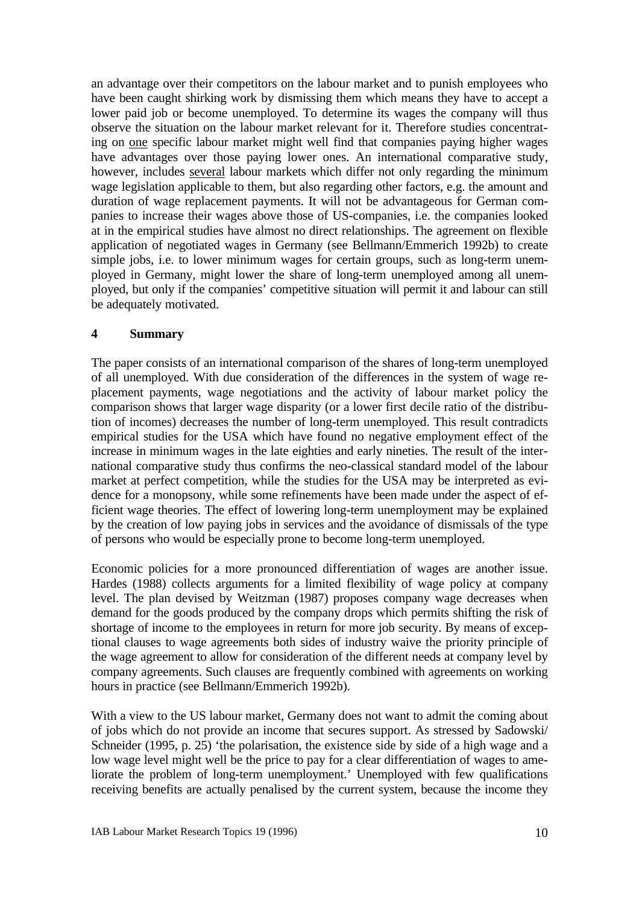an advantage over their competitors on the labour market and to punish employees who have been caught shirking work by dismissing them which means they have to accept a lower paid job or become unemployed. To determine its wages the company will thus observe the situation on the labour market relevant for it. Therefore studies concentrating on one specific labour market might well find that companies paying higher wages have advantages over those paying lower ones. An international comparative study, however, includes several labour markets which differ not only regarding the minimum wage legislation applicable to them, but also regarding other factors, e.g. the amount and duration of wage replacement payments. It will not be advantageous for German companies to increase their wages above those of US-companies, i.e. the companies looked at in the empirical studies have almost no direct relationships. The agreement on flexible application of negotiated wages in Germany (see Bellmann/Emmerich 1992b) to create simple jobs, i.e. to lower minimum wages for certain groups, such as long-term unemployed in Germany, might lower the share of long-term unemployed among all unemployed, but only if the companies' competitive situation will permit it and labour can still be adequately motivated.

# **4 Summary**

The paper consists of an international comparison of the shares of long-term unemployed of all unemployed. With due consideration of the differences in the system of wage replacement payments, wage negotiations and the activity of labour market policy the comparison shows that larger wage disparity (or a lower first decile ratio of the distribution of incomes) decreases the number of long-term unemployed. This result contradicts empirical studies for the USA which have found no negative employment effect of the increase in minimum wages in the late eighties and early nineties. The result of the international comparative study thus confirms the neo-classical standard model of the labour market at perfect competition, while the studies for the USA may be interpreted as evidence for a monopsony, while some refinements have been made under the aspect of efficient wage theories. The effect of lowering long-term unemployment may be explained by the creation of low paying jobs in services and the avoidance of dismissals of the type of persons who would be especially prone to become long-term unemployed.

Economic policies for a more pronounced differentiation of wages are another issue. Hardes (1988) collects arguments for a limited flexibility of wage policy at company level. The plan devised by Weitzman (1987) proposes company wage decreases when demand for the goods produced by the company drops which permits shifting the risk of shortage of income to the employees in return for more job security. By means of exceptional clauses to wage agreements both sides of industry waive the priority principle of the wage agreement to allow for consideration of the different needs at company level by company agreements. Such clauses are frequently combined with agreements on working hours in practice (see Bellmann/Emmerich 1992b).

With a view to the US labour market, Germany does not want to admit the coming about of jobs which do not provide an income that secures support. As stressed by Sadowski/ Schneider (1995, p. 25) 'the polarisation, the existence side by side of a high wage and a low wage level might well be the price to pay for a clear differentiation of wages to ameliorate the problem of long-term unemployment.' Unemployed with few qualifications receiving benefits are actually penalised by the current system, because the income they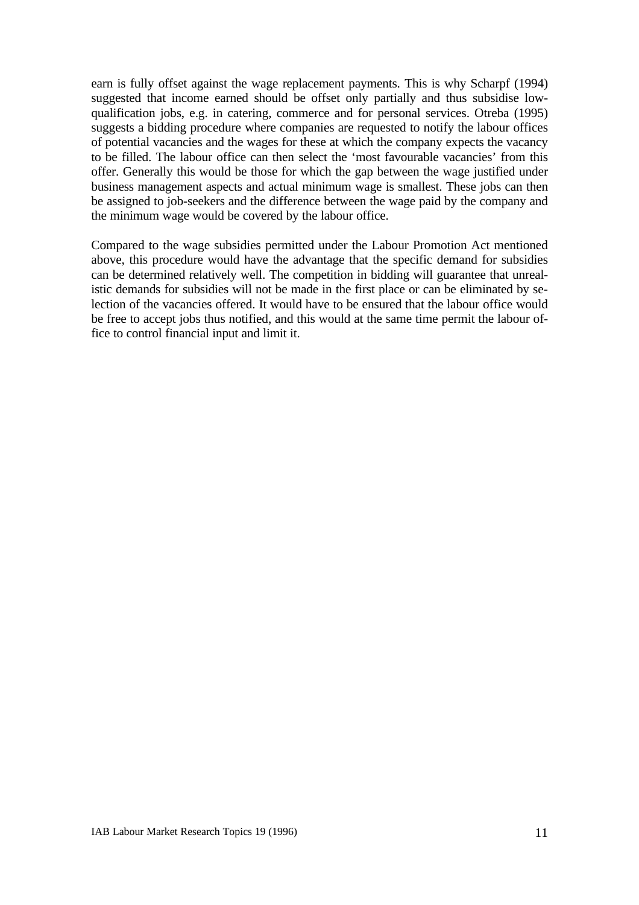earn is fully offset against the wage replacement payments. This is why Scharpf (1994) suggested that income earned should be offset only partially and thus subsidise lowqualification jobs, e.g. in catering, commerce and for personal services. Otreba (1995) suggests a bidding procedure where companies are requested to notify the labour offices of potential vacancies and the wages for these at which the company expects the vacancy to be filled. The labour office can then select the 'most favourable vacancies' from this offer. Generally this would be those for which the gap between the wage justified under business management aspects and actual minimum wage is smallest. These jobs can then be assigned to job-seekers and the difference between the wage paid by the company and the minimum wage would be covered by the labour office.

Compared to the wage subsidies permitted under the Labour Promotion Act mentioned above, this procedure would have the advantage that the specific demand for subsidies can be determined relatively well. The competition in bidding will guarantee that unrealistic demands for subsidies will not be made in the first place or can be eliminated by selection of the vacancies offered. It would have to be ensured that the labour office would be free to accept jobs thus notified, and this would at the same time permit the labour office to control financial input and limit it.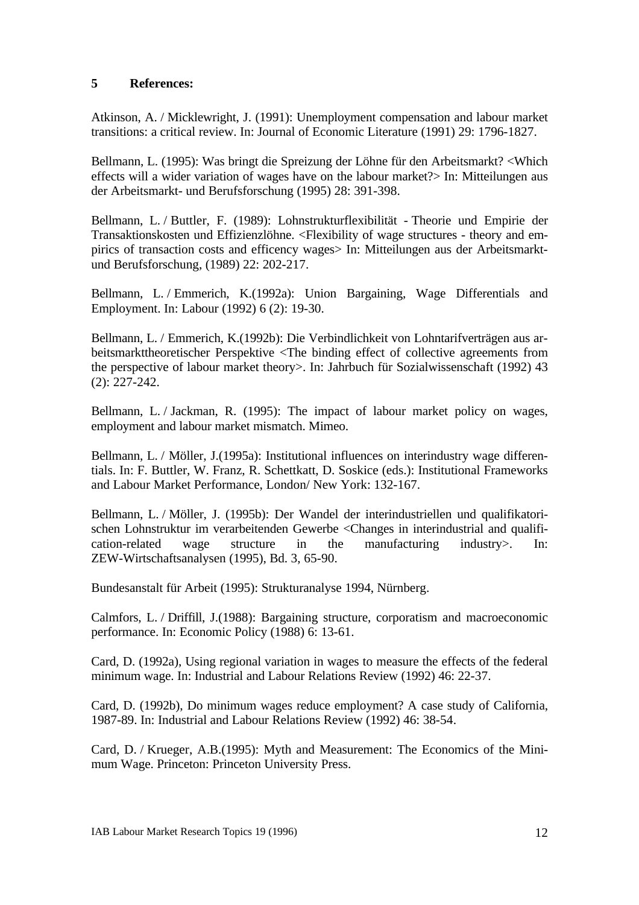# **5 References:**

Atkinson, A. / Micklewright, J. (1991): Unemployment compensation and labour market transitions: a critical review. In: Journal of Economic Literature (1991) 29: 1796-1827.

Bellmann, L. (1995): Was bringt die Spreizung der Löhne für den Arbeitsmarkt? <Which effects will a wider variation of wages have on the labour market? In: Mitteilungen aus der Arbeitsmarkt- und Berufsforschung (1995) 28: 391-398.

Bellmann, L. / Buttler, F. (1989): Lohnstrukturflexibilität - Theorie und Empirie der Transaktionskosten und Effizienzlöhne. <Flexibility of wage structures - theory and empirics of transaction costs and efficency wages> In: Mitteilungen aus der Arbeitsmarktund Berufsforschung, (1989) 22: 202-217.

Bellmann, L. / Emmerich, K.(1992a): Union Bargaining, Wage Differentials and Employment. In: Labour (1992) 6 (2): 19-30.

Bellmann, L. / Emmerich, K.(1992b): Die Verbindlichkeit von Lohntarifverträgen aus arbeitsmarkttheoretischer Perspektive <The binding effect of collective agreements from the perspective of labour market theory>. In: Jahrbuch für Sozialwissenschaft (1992) 43 (2): 227-242.

Bellmann, L. / Jackman, R. (1995): The impact of labour market policy on wages, employment and labour market mismatch. Mimeo.

Bellmann, L. / Möller, J.(1995a): Institutional influences on interindustry wage differentials. In: F. Buttler, W. Franz, R. Schettkatt, D. Soskice (eds.): Institutional Frameworks and Labour Market Performance, London/ New York: 132-167.

Bellmann, L. / Möller, J. (1995b): Der Wandel der interindustriellen und qualifikatorischen Lohnstruktur im verarbeitenden Gewerbe <Changes in interindustrial and qualification-related wage structure in the manufacturing industry>. In: ZEW-Wirtschaftsanalysen (1995), Bd. 3, 65-90.

Bundesanstalt für Arbeit (1995): Strukturanalyse 1994, Nürnberg.

Calmfors, L. / Driffill, J.(1988): Bargaining structure, corporatism and macroeconomic performance. In: Economic Policy (1988) 6: 13-61.

Card, D. (1992a), Using regional variation in wages to measure the effects of the federal minimum wage. In: Industrial and Labour Relations Review (1992) 46: 22-37.

Card, D. (1992b), Do minimum wages reduce employment? A case study of California, 1987-89. In: Industrial and Labour Relations Review (1992) 46: 38-54.

Card, D. / Krueger, A.B.(1995): Myth and Measurement: The Economics of the Minimum Wage. Princeton: Princeton University Press.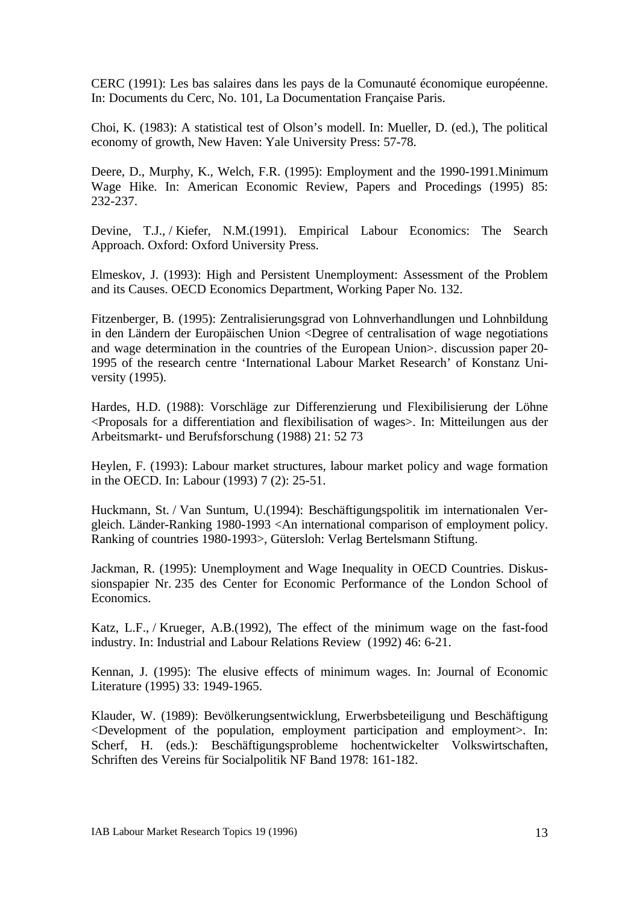CERC (1991): Les bas salaires dans les pays de la Comunauté économique européenne. In: Documents du Cerc, No. 101, La Documentation Française Paris.

Choi, K. (1983): A statistical test of Olson's modell. In: Mueller, D. (ed.), The political economy of growth, New Haven: Yale University Press: 57-78.

Deere, D., Murphy, K., Welch, F.R. (1995): Employment and the 1990-1991.Minimum Wage Hike. In: American Economic Review, Papers and Procedings (1995) 85: 232-237.

Devine, T.J., / Kiefer, N.M.(1991). Empirical Labour Economics: The Search Approach. Oxford: Oxford University Press.

Elmeskov, J. (1993): High and Persistent Unemployment: Assessment of the Problem and its Causes. OECD Economics Department, Working Paper No. 132.

Fitzenberger, B. (1995): Zentralisierungsgrad von Lohnverhandlungen und Lohnbildung in den Ländern der Europäischen Union <Degree of centralisation of wage negotiations and wage determination in the countries of the European Union>. discussion paper 20- 1995 of the research centre 'International Labour Market Research' of Konstanz University (1995).

Hardes, H.D. (1988): Vorschläge zur Differenzierung und Flexibilisierung der Löhne <Proposals for a differentiation and flexibilisation of wages>. In: Mitteilungen aus der Arbeitsmarkt- und Berufsforschung (1988) 21: 52 73

Heylen, F. (1993): Labour market structures, labour market policy and wage formation in the OECD. In: Labour (1993) 7 (2): 25-51.

Huckmann, St. / Van Suntum, U.(1994): Beschäftigungspolitik im internationalen Vergleich. Länder-Ranking 1980-1993 <An international comparison of employment policy. Ranking of countries 1980-1993>, Gütersloh: Verlag Bertelsmann Stiftung.

Jackman, R. (1995): Unemployment and Wage Inequality in OECD Countries. Diskussionspapier Nr. 235 des Center for Economic Performance of the London School of Economics.

Katz, L.F., / Krueger, A.B.(1992), The effect of the minimum wage on the fast-food industry. In: Industrial and Labour Relations Review (1992) 46: 6-21.

Kennan, J. (1995): The elusive effects of minimum wages. In: Journal of Economic Literature (1995) 33: 1949-1965.

Klauder, W. (1989): Bevölkerungsentwicklung, Erwerbsbeteiligung und Beschäftigung <Development of the population, employment participation and employment>. In: Scherf, H. (eds.): Beschäftigungsprobleme hochentwickelter Volkswirtschaften, Schriften des Vereins für Socialpolitik NF Band 1978: 161-182.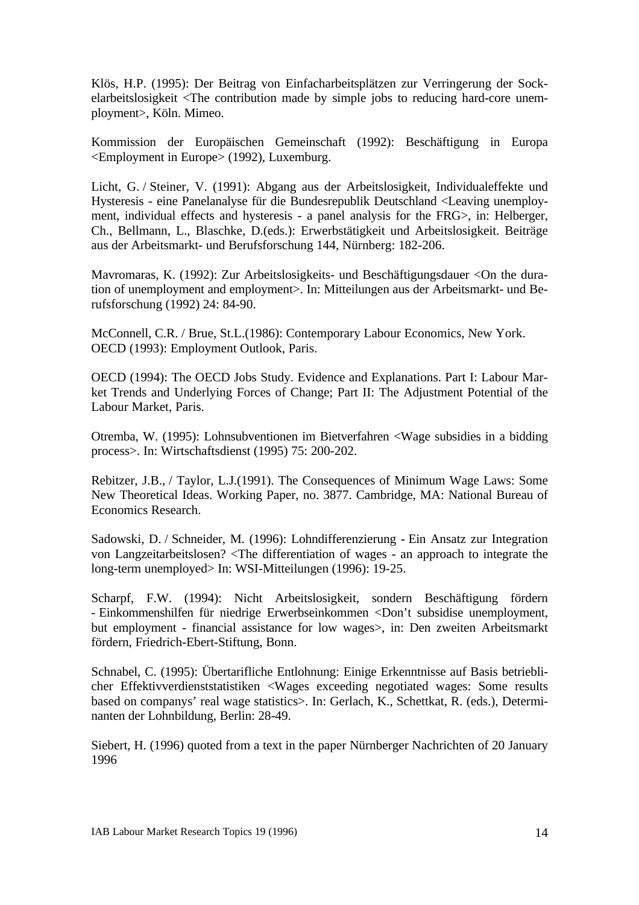Klös, H.P. (1995): Der Beitrag von Einfacharbeitsplätzen zur Verringerung der Sockelarbeitslosigkeit <The contribution made by simple jobs to reducing hard-core unemployment>, Köln. Mimeo.

Kommission der Europäischen Gemeinschaft (1992): Beschäftigung in Europa <Employment in Europe> (1992), Luxemburg.

Licht, G. / Steiner, V. (1991): Abgang aus der Arbeitslosigkeit, Individualeffekte und Hysteresis - eine Panelanalyse für die Bundesrepublik Deutschland <Leaving unemployment, individual effects and hysteresis - a panel analysis for the FRG>, in: Helberger, Ch., Bellmann, L., Blaschke, D.(eds.): Erwerbstätigkeit und Arbeitslosigkeit. Beiträge aus der Arbeitsmarkt- und Berufsforschung 144, Nürnberg: 182-206.

Mavromaras, K. (1992): Zur Arbeitslosigkeits- und Beschäftigungsdauer <On the duration of unemployment and employment>. In: Mitteilungen aus der Arbeitsmarkt- und Berufsforschung (1992) 24: 84-90.

McConnell, C.R. / Brue, St.L.(1986): Contemporary Labour Economics, New York. OECD (1993): Employment Outlook, Paris.

OECD (1994): The OECD Jobs Study. Evidence and Explanations. Part I: Labour Market Trends and Underlying Forces of Change; Part II: The Adjustment Potential of the Labour Market, Paris.

Otremba, W. (1995): Lohnsubventionen im Bietverfahren <Wage subsidies in a bidding process>. In: Wirtschaftsdienst (1995) 75: 200-202.

Rebitzer, J.B., / Taylor, L.J.(1991). The Consequences of Minimum Wage Laws: Some New Theoretical Ideas. Working Paper, no. 3877. Cambridge, MA: National Bureau of Economics Research.

Sadowski, D. / Schneider, M. (1996): Lohndifferenzierung - Ein Ansatz zur Integration von Langzeitarbeitslosen? <The differentiation of wages - an approach to integrate the long-term unemployed> In: WSI-Mitteilungen (1996): 19-25.

Scharpf, F.W. (1994): Nicht Arbeitslosigkeit, sondern Beschäftigung fördern - Einkommenshilfen für niedrige Erwerbseinkommen <Don't subsidise unemployment, but employment - financial assistance for low wages>, in: Den zweiten Arbeitsmarkt fördern, Friedrich-Ebert-Stiftung, Bonn.

Schnabel, C. (1995): Übertarifliche Entlohnung: Einige Erkenntnisse auf Basis betrieblicher Effektivverdienststatistiken <Wages exceeding negotiated wages: Some results based on companys' real wage statistics>. In: Gerlach, K., Schettkat, R. (eds.), Determinanten der Lohnbildung, Berlin: 28-49.

Siebert, H. (1996) quoted from a text in the paper Nürnberger Nachrichten of 20 January 1996